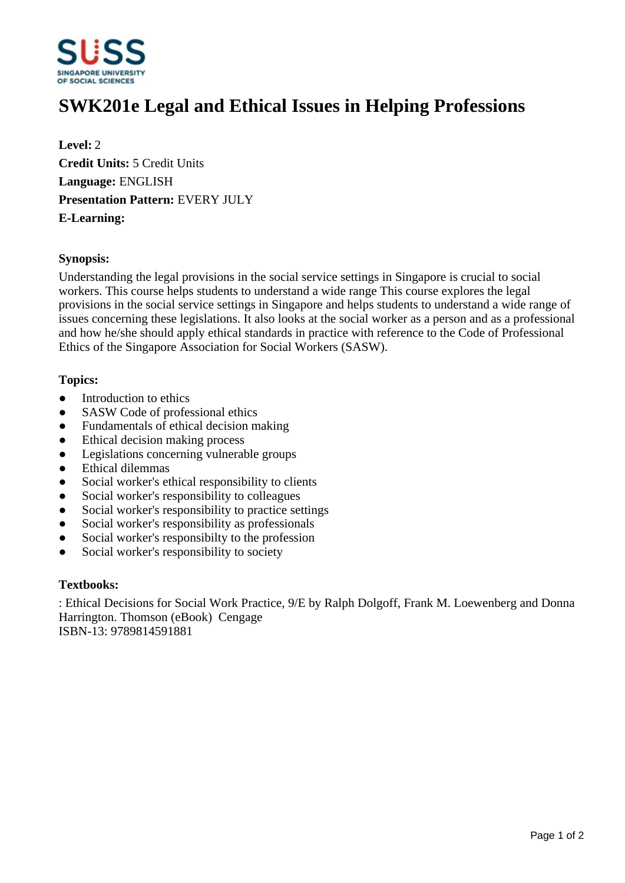

# **SWK201e Legal and Ethical Issues in Helping Professions**

**Level:** 2 **Credit Units:** 5 Credit Units **Language:** ENGLISH **Presentation Pattern:** EVERY JULY **E-Learning:** 

### **Synopsis:**

Understanding the legal provisions in the social service settings in Singapore is crucial to social workers. This course helps students to understand a wide range This course explores the legal provisions in the social service settings in Singapore and helps students to understand a wide range of issues concerning these legislations. It also looks at the social worker as a person and as a professional and how he/she should apply ethical standards in practice with reference to the Code of Professional Ethics of the Singapore Association for Social Workers (SASW).

### **Topics:**

- Introduction to ethics
- SASW Code of professional ethics
- Fundamentals of ethical decision making
- Ethical decision making process
- Legislations concerning vulnerable groups
- Ethical dilemmas
- Social worker's ethical responsibility to clients
- Social worker's responsibility to colleagues
- Social worker's responsibility to practice settings
- Social worker's responsibility as professionals
- Social worker's responsibilty to the profession
- Social worker's responsibility to society

### **Textbooks:**

: Ethical Decisions for Social Work Practice, 9/E by Ralph Dolgoff, Frank M. Loewenberg and Donna Harrington. Thomson (eBook) Cengage ISBN-13: 9789814591881